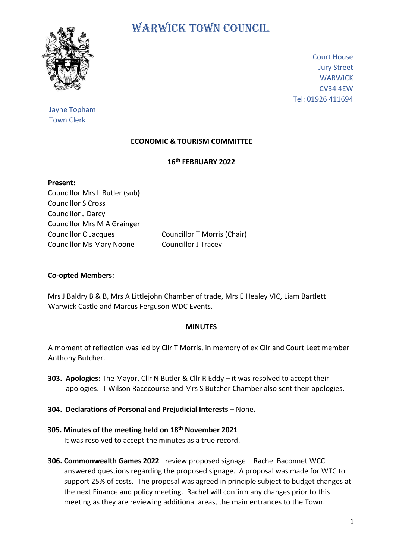

# WARWICK TOWN COUNCIL

Court House Jury Street **WARWICK** CV34 4EW Tel: 01926 411694

# Jayne Topham Town Clerk

# **ECONOMIC & TOURISM COMMITTEE**

## **16th FEBRUARY 2022**

**Present:** Councillor Mrs L Butler (sub**)** Councillor S Cross Councillor J Darcy Councillor Mrs M A Grainger Councillor O Jacques Councillor T Morris (Chair) Councillor Ms Mary Noone Councillor J Tracey

## **Co-opted Members:**

Mrs J Baldry B & B, Mrs A Littlejohn Chamber of trade, Mrs E Healey VIC, Liam Bartlett Warwick Castle and Marcus Ferguson WDC Events.

### **MINUTES**

A moment of reflection was led by Cllr T Morris, in memory of ex Cllr and Court Leet member Anthony Butcher.

- **303. Apologies:** The Mayor, Cllr N Butler & Cllr R Eddy it was resolved to accept their apologies. T Wilson Racecourse and Mrs S Butcher Chamber also sent their apologies.
- **304. Declarations of Personal and Prejudicial Interests** None**.**
- **305. Minutes of the meeting held on 18th November 2021** It was resolved to accept the minutes as a true record.
- **306. Commonwealth Games 2022** review proposed signage Rachel Baconnet WCC answered questions regarding the proposed signage. A proposal was made for WTC to support 25% of costs. The proposal was agreed in principle subject to budget changes at the next Finance and policy meeting. Rachel will confirm any changes prior to this meeting as they are reviewing additional areas, the main entrances to the Town.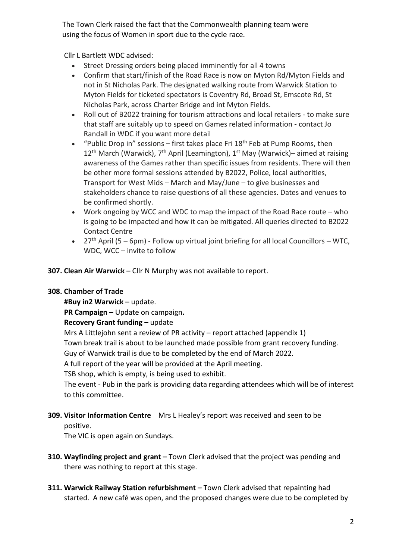The Town Clerk raised the fact that the Commonwealth planning team were using the focus of Women in sport due to the cycle race.

Cllr L Bartlett WDC advised:

- Street Dressing orders being placed imminently for all 4 towns
- Confirm that start/finish of the Road Race is now on Myton Rd/Myton Fields and not in St Nicholas Park. The designated walking route from Warwick Station to Myton Fields for ticketed spectators is Coventry Rd, Broad St, Emscote Rd, St Nicholas Park, across Charter Bridge and int Myton Fields.
- Roll out of B2022 training for tourism attractions and local retailers to make sure that staff are suitably up to speed on Games related information - contact Jo Randall in WDC if you want more detail
- "Public Drop in" sessions first takes place Fri  $18<sup>th</sup>$  Feb at Pump Rooms, then  $12<sup>th</sup>$  March (Warwick), 7<sup>th</sup> April (Leamington), 1<sup>st</sup> May (Warwick)– aimed at raising awareness of the Games rather than specific issues from residents. There will then be other more formal sessions attended by B2022, Police, local authorities, Transport for West Mids – March and May/June – to give businesses and stakeholders chance to raise questions of all these agencies. Dates and venues to be confirmed shortly.
- Work ongoing by WCC and WDC to map the impact of the Road Race route who is going to be impacted and how it can be mitigated. All queries directed to B2022 Contact Centre
- 27<sup>th</sup> April (5 6pm) Follow up virtual joint briefing for all local Councillors WTC, WDC, WCC – invite to follow
- **307. Clean Air Warwick –** Cllr N Murphy was not available to report.

## **308. Chamber of Trade**

 **#Buy in2 Warwick –** update.

 **PR Campaign –** Update on campaign**.**

 **Recovery Grant funding –** update

 Mrs A Littlejohn sent a review of PR activity – report attached (appendix 1) Town break trail is about to be launched made possible from grant recovery funding. Guy of Warwick trail is due to be completed by the end of March 2022.

A full report of the year will be provided at the April meeting.

TSB shop, which is empty, is being used to exhibit.

 The event - Pub in the park is providing data regarding attendees which will be of interest to this committee.

#### **309. Visitor Information Centre** Mrs L Healey's report was received and seen to be positive.

The VIC is open again on Sundays.

- **310. Wayfinding project and grant –** Town Clerk advised that the project was pending and there was nothing to report at this stage.
- **311. Warwick Railway Station refurbishment –** Town Clerk advised that repainting had started. A new café was open, and the proposed changes were due to be completed by